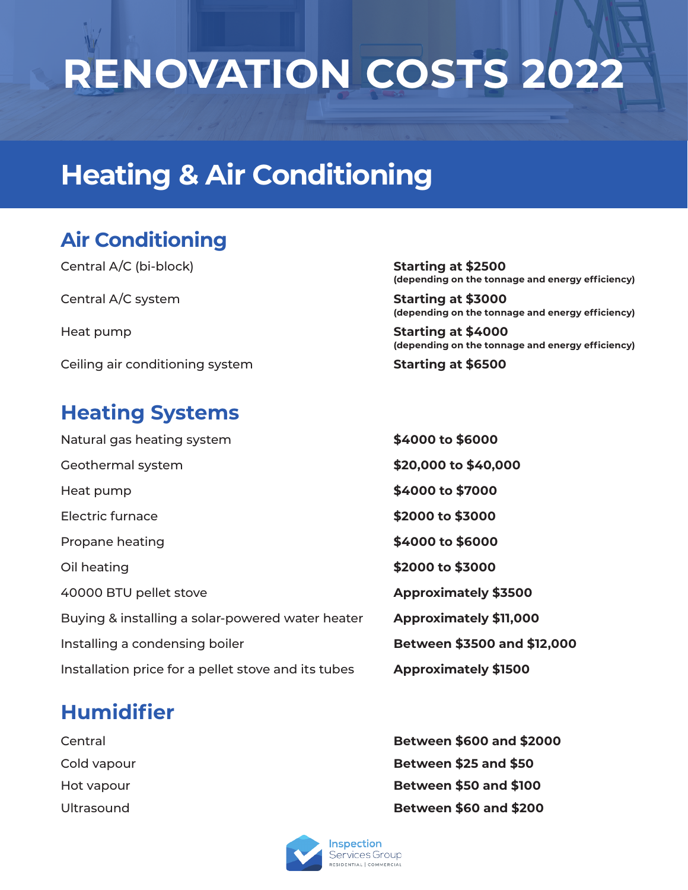# **RENOVATION COSTS 2022**

### **Heating & Air Conditioning**

#### **Air Conditioning**

Central A/C (bi-block) **Starting at \$2500** Central A/C system **Starting at \$3000** Heat pump **Starting at \$4000** Ceiling air conditioning system **Starting at \$6500** 

#### **Heating Systems**

| Natural gas heating system                          | \$4000 to \$6000             |
|-----------------------------------------------------|------------------------------|
| Geothermal system                                   | \$20,000 to \$40,000         |
| Heat pump                                           | \$4000 to \$7000             |
| <b>Electric furnace</b>                             | \$2000 to \$3000             |
| Propane heating                                     | \$4000 to \$6000             |
| Oil heating                                         | \$2000 to \$3000             |
| 40000 BTU pellet stove                              | <b>Approximately \$3500</b>  |
| Buying & installing a solar-powered water heater    | <b>Approximately \$11,00</b> |
| Installing a condensing boiler                      | <b>Between \$3500 and \$</b> |
| Installation price for a pellet stove and its tubes | <b>Approximately \$1500</b>  |

### **Humidifier**

**(depending on the tonnage and energy efficiency)**

**(depending on the tonnage and energy efficiency)**

**(depending on the tonnage and energy efficiency)**

\$4000 to \$6000 \$20,000 to \$40,000 Heat pump **\$4000 to \$7000** Electric furnace **\$2000 to \$3000** Propane heating **\$4000 to \$6000** Oil heating **\$2000 to \$3000** 40000 BTU pellet stove **Approximately \$3500 Approximately \$11,000** Between \$3500 and \$12,000

Central **Between \$600 and \$2000** Cold vapour **Between \$25 and \$50** Hot vapour **Between \$50 and \$100** Ultrasound **Between \$60 and \$200**

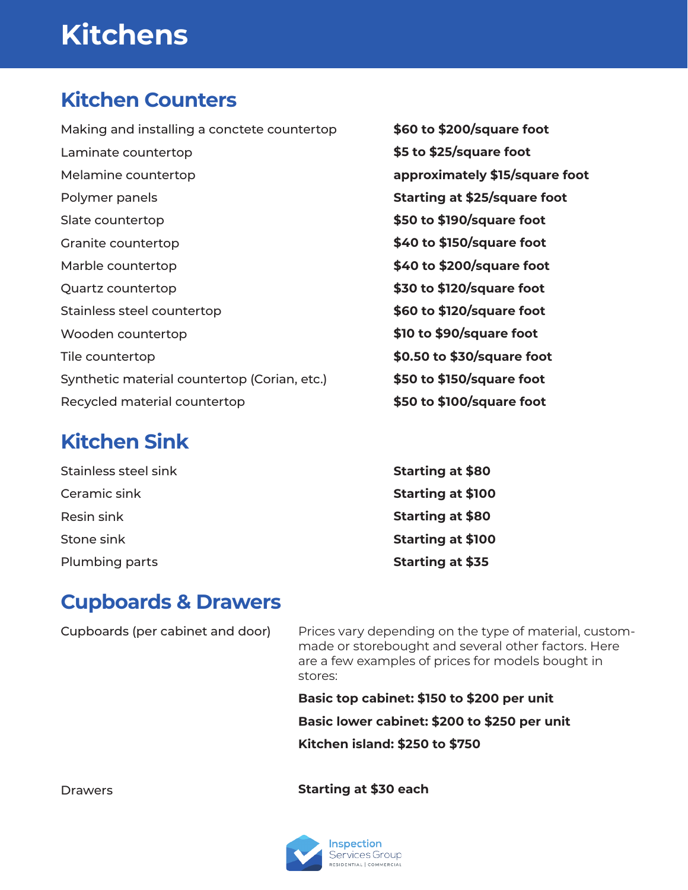# **Kitchens**

#### **Kitchen Counters**

Making and installing a conctete countertop Laminate countertop Melamine countertop Polymer panels Slate countertop Granite countertop Marble countertop Quartz countertop Stainless steel countertop Wooden countertop Tile countertop Synthetic material countertop (Corian, etc.) Recycled material countertop

### **Kitchen Sink**

Stainless steel sink Ceramic sink Resin sink Stone sink Plumbing parts

**\$60 to \$200/square foot \$5 to \$25/square foot approximately \$15/square foot Starting at \$25/square foot \$50 to \$190/square foot \$40 to \$150/square foot \$40 to \$200/square foot \$30 to \$120/square foot \$60 to \$120/square foot \$10 to \$90/square foot \$0.50 to \$30/square foot \$50 to \$150/square foot \$50 to \$100/square foot**

**Starting at \$80 Starting at \$100 Starting at \$80 Starting at \$100 Starting at \$35**

### **Cupboards & Drawers**

Cupboards (per cabinet and door)

Prices vary depending on the type of material, custommade or storebought and several other factors. Here are a few examples of prices for models bought in stores:

**Basic top cabinet: \$150 to \$200 per unit Basic lower cabinet: \$200 to \$250 per unit Kitchen island: \$250 to \$750**

**Starting at \$30 each**



Drawers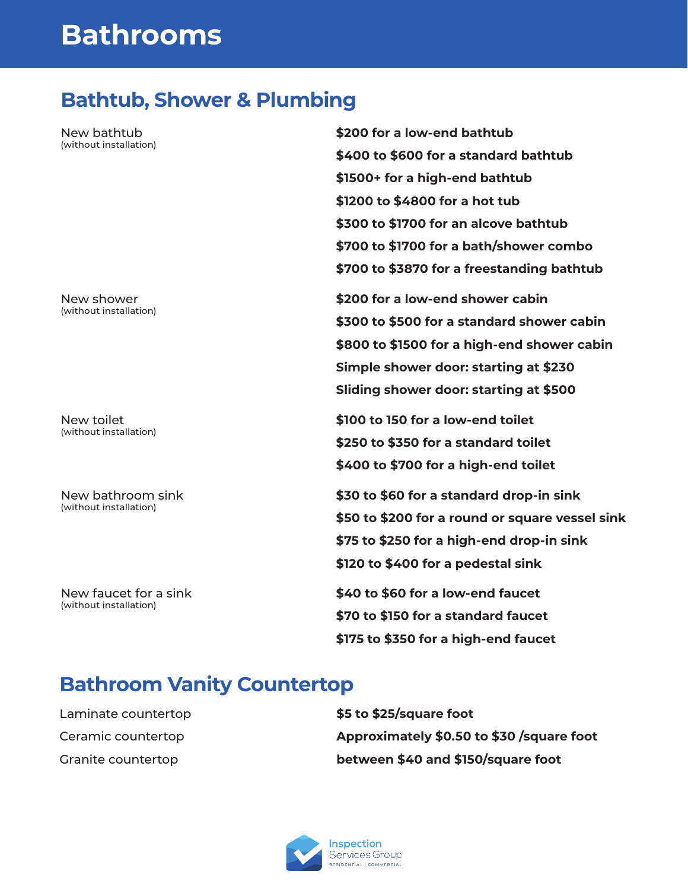### **Bathrooms**

#### **Bathtub, Shower & Plumbing**

New bathtub (without installation)

New shower (without installation)

New toilet (without installation)

New bathroom sink (without installation)

New faucet for a sink (without installation)

**\$200 for a low-end bathtub \$400 to \$600 for a standard bathtub \$1500+ for a high-end bathtub \$1200 to \$4800 for a hot tub \$300 to \$1700 for an alcove bathtub \$700 to \$1700 for a bath/shower combo \$700 to \$3870 for a freestanding bathtub**

**\$200 for a low-end shower cabin \$300 to \$500 for a standard shower cabin \$800 to \$1500 for a high-end shower cabin Simple shower door: starting at \$230 Sliding shower door: starting at \$500**

**\$100 to 150 for a low-end toilet \$250 to \$350 for a standard toilet \$400 to \$700 for a high-end toilet**

**\$30 to \$60 for a standard drop-in sink \$50 to \$200 for a round or square vessel sink \$75 to \$250 for a high-end drop-in sink \$120 to \$400 for a pedestal sink**

**\$40 to \$60 for a low-end faucet \$70 to \$150 for a standard faucet \$175 to \$350 for a high-end faucet**

#### **Bathroom Vanity Countertop**

Laminate countertop Ceramic countertop Granite countertop

**\$5 to \$25/square foot Approximately \$0.50 to \$30 /square foot between \$40 and \$150/square foot**

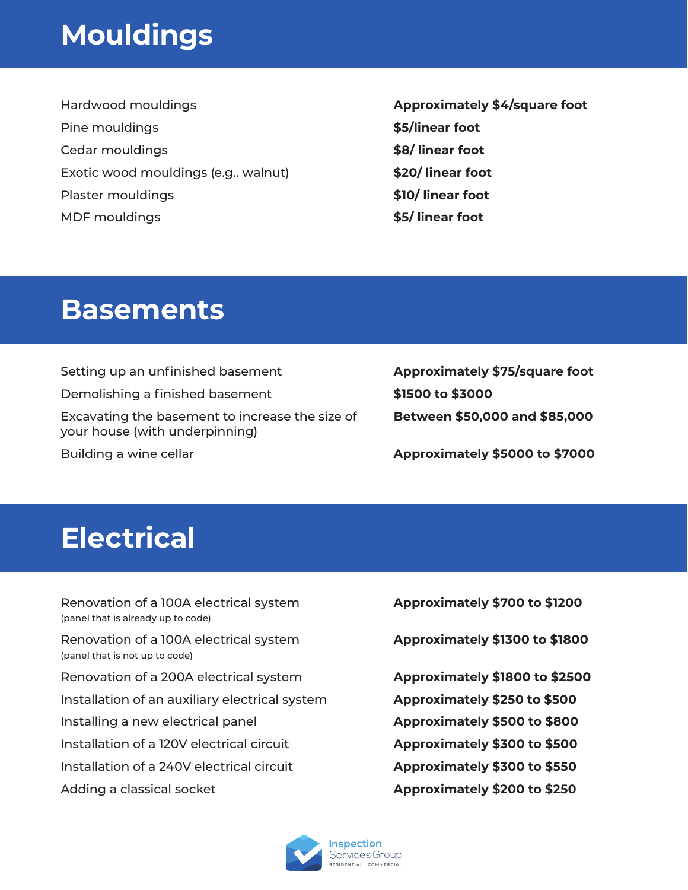### **Mouldings**

Hardwood mouldings Pine mouldings Cedar mouldings Exotic wood mouldings (e.g.. walnut) Plaster mouldings MDF mouldings

**Approximately \$4/square foot \$5/linear foot \$8/ linear foot \$20/ linear foot \$10/ linear foot \$5/ linear foot**

### **Basements**

Setting up an unfinished basement Demolishing a finished basement Excavating the basement to increase the size of your house (with underpinning) Building a wine cellar

**Approximately \$75/square foot \$1500 to \$3000 Between \$50,000 and \$85,000**

**Approximately \$5000 to \$7000**

### **Electrical**

Renovation of a 100A electrical system (panel that is already up to code) Renovation of a 100A electrical system (panel that is not up to code) Renovation of a 200A electrical system Installation of an auxiliary electrical system Installing a new electrical panel Installation of a 120V electrical circuit Installation of a 240V electrical circuit Adding a classical socket

**Approximately \$700 to \$1200**

**Approximately \$1300 to \$1800**

**Approximately \$1800 to \$2500 Approximately \$250 to \$500 Approximately \$500 to \$800 Approximately \$300 to \$500 Approximately \$300 to \$550 Approximately \$200 to \$250**

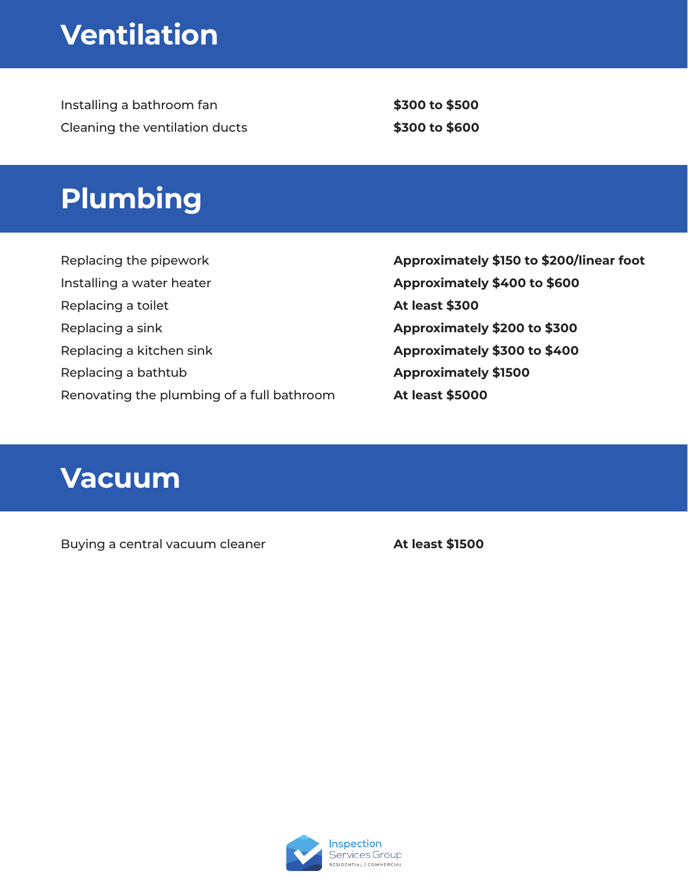# **Ventilation**

Installing a bathroom fan Cleaning the ventilation ducts

**\$300 to \$500 \$300 to \$600**

### **Plumbing**

Replacing the pipework Installing a water heater Replacing a toilet Replacing a sink Replacing a kitchen sink Replacing a bathtub Renovating the plumbing of a full bathroom **Approximately \$150 to \$200/linear foot Approximately \$400 to \$600 At least \$300 Approximately \$200 to \$300 Approximately \$300 to \$400 Approximately \$1500 At least \$5000**

### **Vacuum**

Buying a central vacuum cleaner **At least \$1500** 

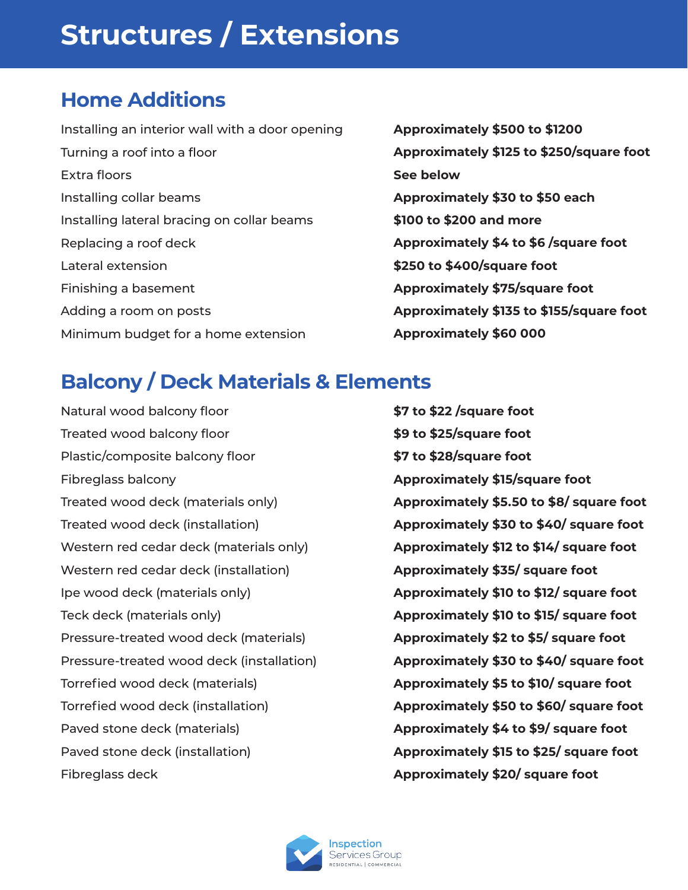# **Structures / Extensions**

### **Home Additions**

Installing an interior wall with a door opening Turning a roof into a floor Extra floors Installing collar beams Installing lateral bracing on collar beams Replacing a roof deck Lateral extension Finishing a basement Adding a room on posts Minimum budget for a home extension

**Approximately \$500 to \$1200 Approximately \$125 to \$250/square foot See below Approximately \$30 to \$50 each \$100 to \$200 and more Approximately \$4 to \$6 /square foot \$250 to \$400/square foot Approximately \$75/square foot Approximately \$135 to \$155/square foot Approximately \$60 000**

### **Balcony / Deck Materials & Elements**

Natural wood balcony floor Treated wood balcony floor Plastic/composite balcony floor Fibreglass balcony Treated wood deck (materials only) Treated wood deck (installation) Western red cedar deck (materials only) Western red cedar deck (installation) Ipe wood deck (materials only) Teck deck (materials only) Pressure-treated wood deck (materials) Pressure-treated wood deck (installation) Torrefied wood deck (materials) Torrefied wood deck (installation) Paved stone deck (materials) Paved stone deck (installation) Fibreglass deck

**\$7 to \$22 /square foot \$9 to \$25/square foot \$7 to \$28/square foot Approximately \$15/square foot Approximately \$5.50 to \$8/ square foot Approximately \$30 to \$40/ square foot Approximately \$12 to \$14/ square foot Approximately \$35/ square foot Approximately \$10 to \$12/ square foot Approximately \$10 to \$15/ square foot Approximately \$2 to \$5/ square foot Approximately \$30 to \$40/ square foot Approximately \$5 to \$10/ square foot Approximately \$50 to \$60/ square foot Approximately \$4 to \$9/ square foot Approximately \$15 to \$25/ square foot Approximately \$20/ square foot**

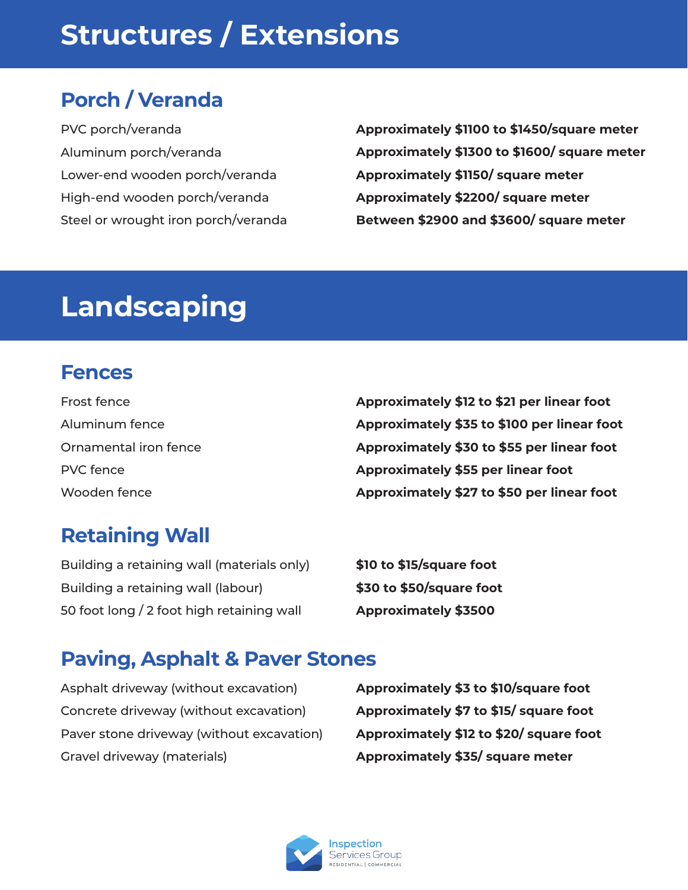# **Structures / Extensions**

### **Porch / Veranda**

PVC porch/veranda Aluminum porch/veranda Lower-end wooden porch/veranda High-end wooden porch/veranda Steel or wrought iron porch/veranda

**Approximately \$1100 to \$1450/square meter Approximately \$1300 to \$1600/ square meter Approximately \$1150/ square meter Approximately \$2200/ square meter Between \$2900 and \$3600/ square meter**

### **Landscaping**

#### **Fences**

| Frost fence           | Approximately \$12 to \$21 per linear foot  |
|-----------------------|---------------------------------------------|
| Aluminum fence        | Approximately \$35 to \$100 per linear foot |
| Ornamental iron fence | Approximately \$30 to \$55 per linear foot  |
| <b>PVC</b> fence      | Approximately \$55 per linear foot          |
| Wooden fence          | Approximately \$27 to \$50 per linear foot  |

### **Retaining Wall**

Building a retaining wall (materials only) Building a retaining wall (labour) 50 foot long / 2 foot high retaining wall

**\$10 to \$15/square foot \$30 to \$50/square foot Approximately \$3500**

#### **Paving, Asphalt & Paver Stones**

Asphalt driveway (without excavation) Concrete driveway (without excavation) Paver stone driveway (without excavation) Gravel driveway (materials)

**Approximately \$3 to \$10/square foot Approximately \$7 to \$15/ square foot Approximately \$12 to \$20/ square foot Approximately \$35/ square meter**

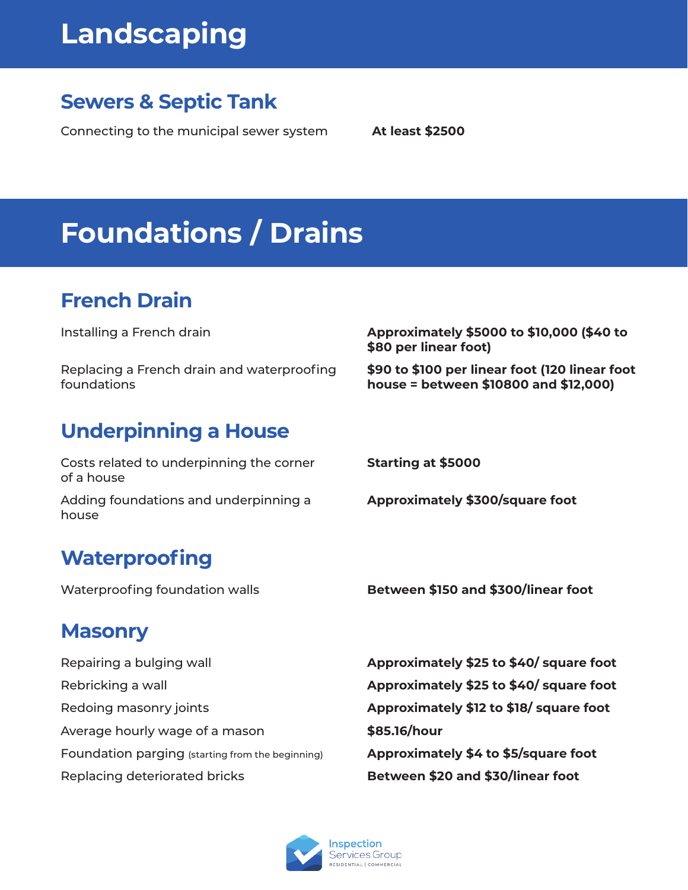# **Landscaping**

#### **Sewers & Septic Tank**

Connecting to the municipal sewer system **At least \$2500**

# **Foundations / Drains**

### **French Drain**

Installing a French drain

Replacing a French drain and waterproofing foundations

### **Underpinning a House**

Costs related to underpinning the corner of a house

Adding foundations and underpinning a house

#### **Waterproofing**

#### **\$80 per linear foot) \$90 to \$100 per linear foot (120 linear foot**

**house = between \$10800 and \$12,000)**

**Approximately \$5000 to \$10,000 (\$40 to** 

**Starting at \$5000**

**Approximately \$300/square foot**

Waterproofing foundation walls **Between \$150 and \$300/linear foot**

#### **Masonry**

Repairing a bulging wall Rebricking a wall Redoing masonry joints Average hourly wage of a mason Foundation parging (starting from the beginning) Replacing deteriorated bricks

**Approximately \$25 to \$40/ square foot Approximately \$25 to \$40/ square foot Approximately \$12 to \$18/ square foot \$85.16/hour Approximately \$4 to \$5/square foot Between \$20 and \$30/linear foot**

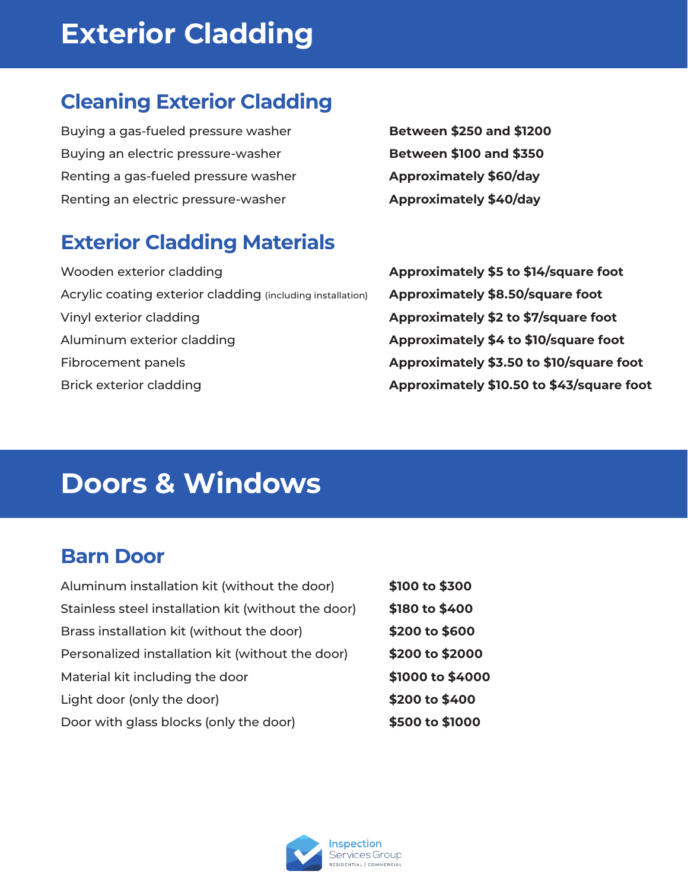# **Exterior Cladding**

### **Cleaning Exterior Cladding**

Buying a gas-fueled pressure washer Buying an electric pressure-washer Renting a gas-fueled pressure washer Renting an electric pressure-washer

### **Exterior Cladding Materials**

Wooden exterior cladding Acrylic coating exterior cladding (including installation) Vinyl exterior cladding Aluminum exterior cladding Fibrocement panels Brick exterior cladding

**Between \$250 and \$1200 Between \$100 and \$350 Approximately \$60/day Approximately \$40/day**

**Approximately \$5 to \$14/square foot Approximately \$8.50/square foot Approximately \$2 to \$7/square foot Approximately \$4 to \$10/square foot Approximately \$3.50 to \$10/square foot Approximately \$10.50 to \$43/square foot**

### **Doors & Windows**

#### **Barn Door**

| Aluminum installation kit (without the door)        | \$100 to \$300   |
|-----------------------------------------------------|------------------|
| Stainless steel installation kit (without the door) | \$180 to \$400   |
| Brass installation kit (without the door)           | \$200 to \$600   |
| Personalized installation kit (without the door)    | \$200 to \$2000  |
| Material kit including the door                     | \$1000 to \$4000 |
| Light door (only the door)                          | \$200 to \$400   |
| Door with glass blocks (only the door)              | \$500 to \$1000  |

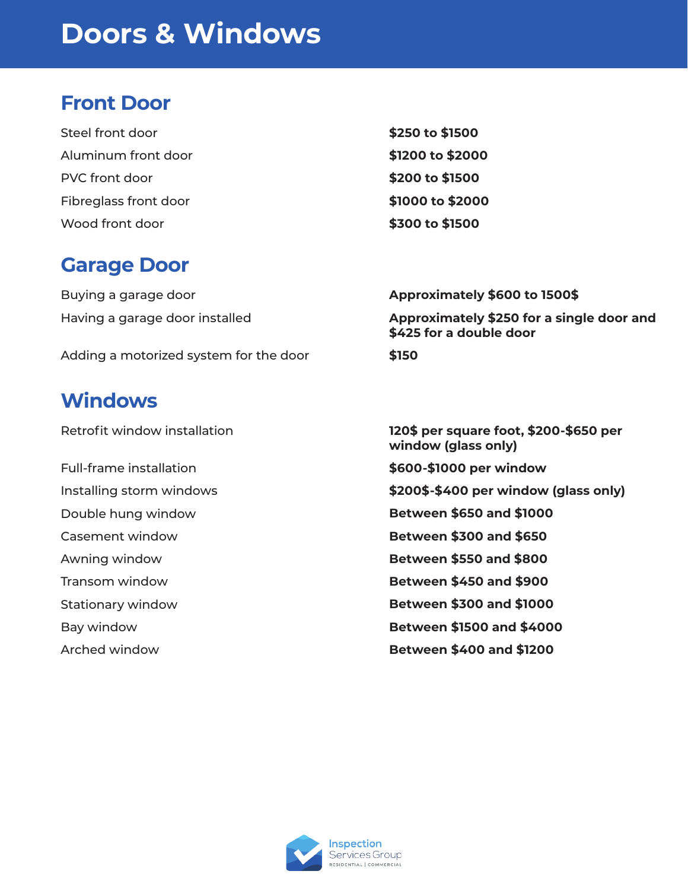### **Doors & Windows**

#### **Front Door**

| Steel front door      | \$250 to \$1500  |
|-----------------------|------------------|
| Aluminum front door   | \$1200 to \$2000 |
| PVC front door        | \$200 to \$1500  |
| Fibreglass front door | \$1000 to \$2000 |
| Wood front door       | \$300 to \$1500  |

#### **Garage Door**

Buying a garage door Having a garage door installed

Adding a motorized system for the door

#### **Windows**

Retrofit window installation

- Full-frame installation
- Installing storm windows
- Double hung window
- Casement window
- Awning window
- Transom window
- Stationary window
- Bay window
- Arched window
- **Approximately \$600 to 1500\$ Approximately \$250 for a single door and \$425 for a double door**
- **\$150**

**120\$ per square foot, \$200-\$650 per window (glass only) \$600-\$1000 per window \$200\$-\$400 per window (glass only) Between \$650 and \$1000 Between \$300 and \$650 Between \$550 and \$800 Between \$450 and \$900 Between \$300 and \$1000 Between \$1500 and \$4000 Between \$400 and \$1200**

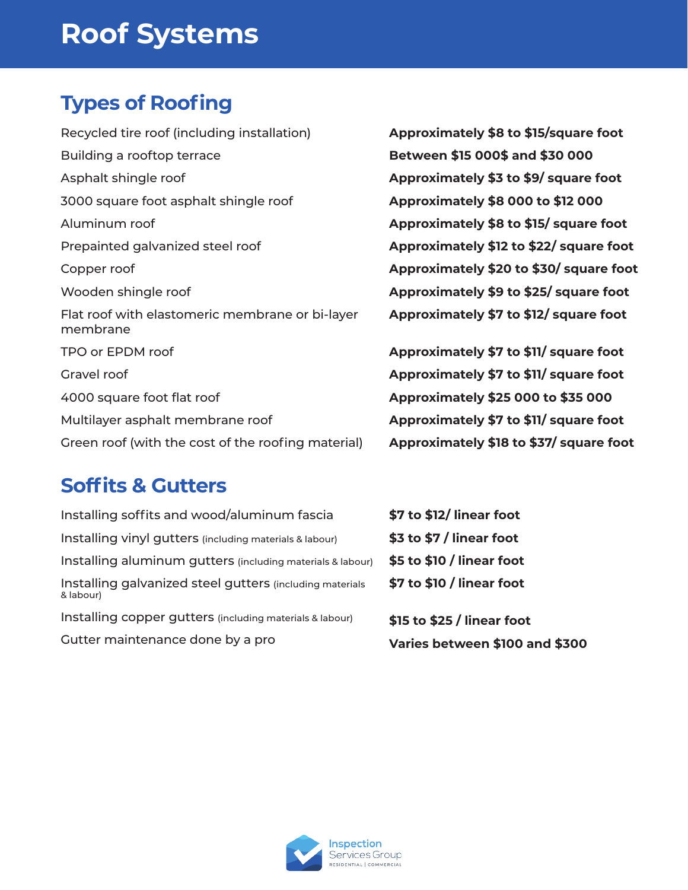### **Roof Systems**

### **Types of Roofing**

Recycled tire roof (including installation) Building a rooftop terrace Asphalt shingle roof 3000 square foot asphalt shingle roof Aluminum roof Prepainted galvanized steel roof Copper roof Wooden shingle roof Flat roof with elastomeric membrane or bi-layer membrane TPO or EPDM roof Gravel roof 4000 square foot flat roof Multilayer asphalt membrane roof Green roof (with the cost of the roofing material)

**Approximately \$8 to \$15/square foot Between \$15 000\$ and \$30 000 Approximately \$3 to \$9/ square foot Approximately \$8 000 to \$12 000 Approximately \$8 to \$15/ square foot Approximately \$12 to \$22/ square foot Approximately \$20 to \$30/ square foot Approximately \$9 to \$25/ square foot Approximately \$7 to \$12/ square foot**

**Approximately \$7 to \$11/ square foot Approximately \$7 to \$11/ square foot Approximately \$25 000 to \$35 000 Approximately \$7 to \$11/ square foot Approximately \$18 to \$37/ square foot**

#### **Soffits & Gutters**

| Installing soffits and wood/aluminum fascia                           | \$7 to \$12/ line  |
|-----------------------------------------------------------------------|--------------------|
| Installing vinyl gutters (including materials & labour)               | \$3 to \$7 / line  |
| Installing aluminum gutters (including materials & labour)            | \$5 to \$10 / line |
| Installing galvanized steel gutters (including materials<br>& labour) | \$7 to \$10 / line |
| Installing copper gutters (including materials & labour)              | \$15 to \$25 / lir |
| Gutter maintenance done by a pro                                      | Varies betwer      |

**ar foot ar foot ear foot ear foot** 

**near foot Varies between \$100 and \$300**

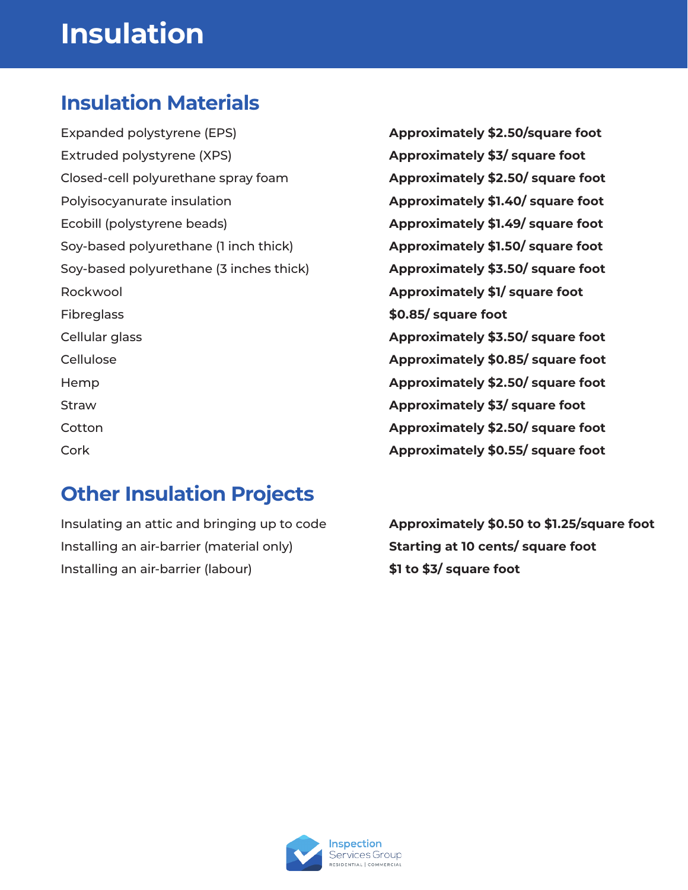## **Insulation**

#### **Insulation Materials**

Expanded polystyrene (EPS) Extruded polystyrene (XPS) Closed-cell polyurethane spray foam Polyisocyanurate insulation Ecobill (polystyrene beads) Soy-based polyurethane (1 inch thick) Soy-based polyurethane (3 inches thick) Rockwool **Fibreglass** Cellular glass Cellulose Hemp Straw **Cotton** Cork

### **Other Insulation Projects**

Insulating an attic and bringing up to code Installing an air-barrier (material only) Installing an air-barrier (labour)

**Approximately \$2.50/square foot Approximately \$3/ square foot Approximately \$2.50/ square foot Approximately \$1.40/ square foot Approximately \$1.49/ square foot Approximately \$1.50/ square foot Approximately \$3.50/ square foot Approximately \$1/ square foot \$0.85/ square foot Approximately \$3.50/ square foot Approximately \$0.85/ square foot Approximately \$2.50/ square foot Approximately \$3/ square foot Approximately \$2.50/ square foot Approximately \$0.55/ square foot**

**Approximately \$0.50 to \$1.25/square foot Starting at 10 cents/ square foot \$1 to \$3/ square foot**

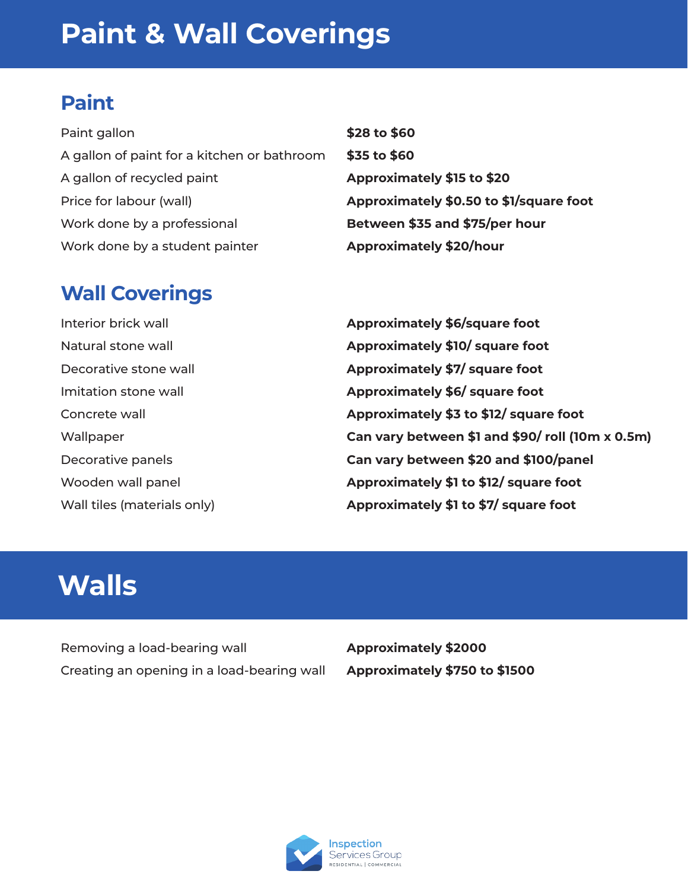### **Paint**

| Paint gallon                                | \$28 to \$60                            |
|---------------------------------------------|-----------------------------------------|
| A gallon of paint for a kitchen or bathroom | \$35 to \$60                            |
| A gallon of recycled paint                  | Approximately \$15 to \$20              |
| Price for labour (wall)                     | Approximately \$0.50 to \$1/square foot |
| Work done by a professional                 | Between \$35 and \$75/per hour          |
| Work done by a student painter              | <b>Approximately \$20/hour</b>          |

#### **Wall Coverings**

| Interior brick wall         |
|-----------------------------|
| Natural stone wall          |
| Decorative stone wall       |
| Imitation stone wall        |
| Concrete wall               |
| Wallpaper                   |
| Decorative panels           |
| Wooden wall panel           |
| Wall tiles (materials only) |

**Approximately \$6/square foot Approximately \$10/ square foot Approximately \$7/ square foot Approximately \$6/ square foot Approximately \$3 to \$12/ square foot Can vary between \$1 and \$90/ roll (10m x 0.5m) Can vary between \$20 and \$100/panel Approximately \$1 to \$12/ square foot Approximately \$1 to \$7/ square foot**

### **Walls**

Removing a load-bearing wall Creating an opening in a load-bearing wall **Approximately \$2000 Approximately \$750 to \$1500**

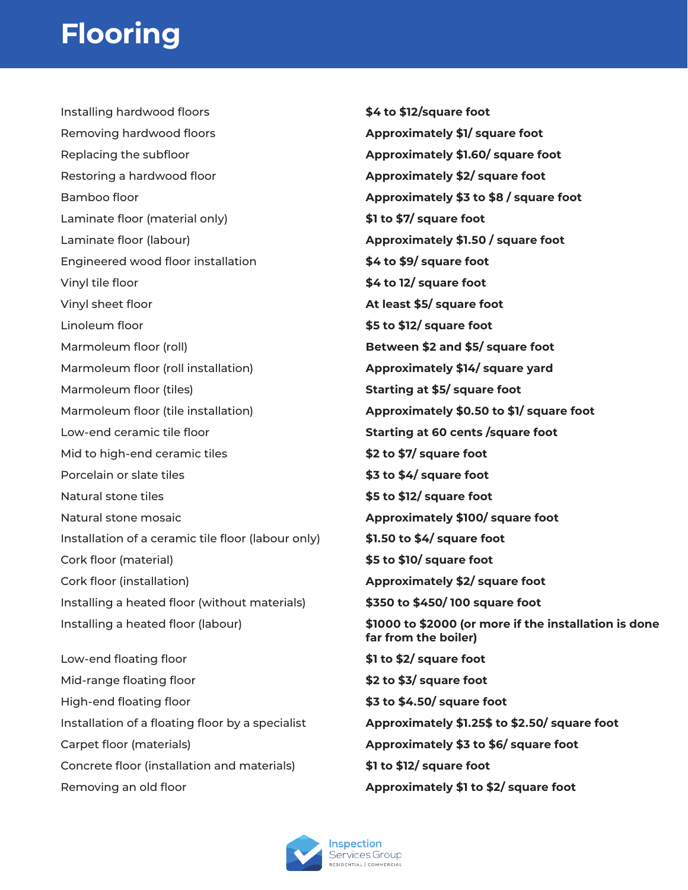# **Flooring**

Installing hardwood floors Removing hardwood floors Replacing the subfloor Restoring a hardwood floor Bamboo floor Laminate floor (material only) Laminate floor (labour) Engineered wood floor installation Vinyl tile floor Vinyl sheet floor Linoleum floor Marmoleum floor (roll) Marmoleum floor (roll installation) Marmoleum floor (tiles) Marmoleum floor (tile installation) Low-end ceramic tile floor Mid to high-end ceramic tiles Porcelain or slate tiles Natural stone tiles Natural stone mosaic Installation of a ceramic tile floor (labour only) Cork floor (material) Cork floor (installation) Installing a heated floor (without materials) Installing a heated floor (labour) Low-end floating floor Mid-range floating floor High-end floating floor Installation of a floating floor by a specialist

Carpet floor (materials)

- Concrete floor (installation and materials)
- Removing an old floor

**\$4 to \$12/square foot Approximately \$1/ square foot Approximately \$1.60/ square foot Approximately \$2/ square foot Approximately \$3 to \$8 / square foot \$1 to \$7/ square foot Approximately \$1.50 / square foot \$4 to \$9/ square foot \$4 to 12/ square foot At least \$5/ square foot \$5 to \$12/ square foot Between \$2 and \$5/ square foot Approximately \$14/ square yard Starting at \$5/ square foot Approximately \$0.50 to \$1/ square foot Starting at 60 cents /square foot \$2 to \$7/ square foot \$3 to \$4/ square foot \$5 to \$12/ square foot Approximately \$100/ square foot \$1.50 to \$4/ square foot \$5 to \$10/ square foot Approximately \$2/ square foot \$350 to \$450/ 100 square foot \$1000 to \$2000 (or more if the installation is done far from the boiler) \$1 to \$2/ square foot \$2 to \$3/ square foot \$3 to \$4.50/ square foot Approximately \$1.25\$ to \$2.50/ square foot Approximately \$3 to \$6/ square foot \$1 to \$12/ square foot**

**Approximately \$1 to \$2/ square foot**